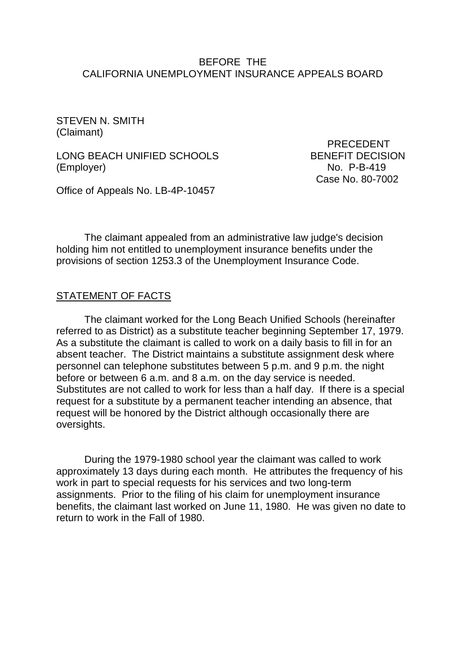### BEFORE THE CALIFORNIA UNEMPLOYMENT INSURANCE APPEALS BOARD

STEVEN N. SMITH (Claimant)

LONG BEACH UNIFIED SCHOOLS BENEFIT DECISION (Employer) No. P-B-419

 PRECEDENT Case No. 80-7002

Office of Appeals No. LB-4P-10457

The claimant appealed from an administrative law judge's decision holding him not entitled to unemployment insurance benefits under the provisions of section 1253.3 of the Unemployment Insurance Code.

#### STATEMENT OF FACTS

The claimant worked for the Long Beach Unified Schools (hereinafter referred to as District) as a substitute teacher beginning September 17, 1979. As a substitute the claimant is called to work on a daily basis to fill in for an absent teacher. The District maintains a substitute assignment desk where personnel can telephone substitutes between 5 p.m. and 9 p.m. the night before or between 6 a.m. and 8 a.m. on the day service is needed. Substitutes are not called to work for less than a half day. If there is a special request for a substitute by a permanent teacher intending an absence, that request will be honored by the District although occasionally there are oversights.

During the 1979-1980 school year the claimant was called to work approximately 13 days during each month. He attributes the frequency of his work in part to special requests for his services and two long-term assignments. Prior to the filing of his claim for unemployment insurance benefits, the claimant last worked on June 11, 1980. He was given no date to return to work in the Fall of 1980.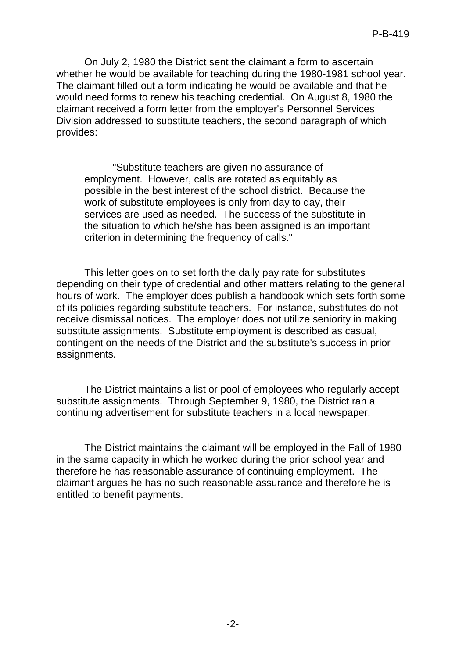On July 2, 1980 the District sent the claimant a form to ascertain whether he would be available for teaching during the 1980-1981 school year. The claimant filled out a form indicating he would be available and that he would need forms to renew his teaching credential. On August 8, 1980 the claimant received a form letter from the employer's Personnel Services Division addressed to substitute teachers, the second paragraph of which provides:

"Substitute teachers are given no assurance of employment. However, calls are rotated as equitably as possible in the best interest of the school district. Because the work of substitute employees is only from day to day, their services are used as needed. The success of the substitute in the situation to which he/she has been assigned is an important criterion in determining the frequency of calls."

This letter goes on to set forth the daily pay rate for substitutes depending on their type of credential and other matters relating to the general hours of work. The employer does publish a handbook which sets forth some of its policies regarding substitute teachers. For instance, substitutes do not receive dismissal notices. The employer does not utilize seniority in making substitute assignments. Substitute employment is described as casual, contingent on the needs of the District and the substitute's success in prior assignments.

The District maintains a list or pool of employees who regularly accept substitute assignments. Through September 9, 1980, the District ran a continuing advertisement for substitute teachers in a local newspaper.

The District maintains the claimant will be employed in the Fall of 1980 in the same capacity in which he worked during the prior school year and therefore he has reasonable assurance of continuing employment. The claimant argues he has no such reasonable assurance and therefore he is entitled to benefit payments.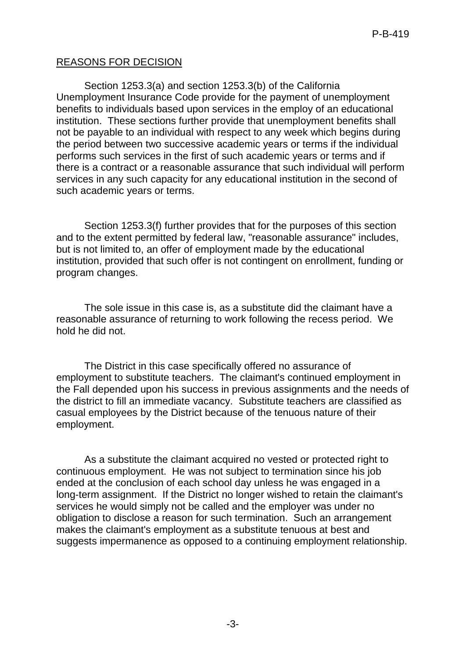# REASONS FOR DECISION

Section 1253.3(a) and section 1253.3(b) of the California Unemployment Insurance Code provide for the payment of unemployment benefits to individuals based upon services in the employ of an educational institution. These sections further provide that unemployment benefits shall not be payable to an individual with respect to any week which begins during the period between two successive academic years or terms if the individual performs such services in the first of such academic years or terms and if there is a contract or a reasonable assurance that such individual will perform services in any such capacity for any educational institution in the second of such academic years or terms.

Section 1253.3(f) further provides that for the purposes of this section and to the extent permitted by federal law, "reasonable assurance" includes, but is not limited to, an offer of employment made by the educational institution, provided that such offer is not contingent on enrollment, funding or program changes.

The sole issue in this case is, as a substitute did the claimant have a reasonable assurance of returning to work following the recess period. We hold he did not.

The District in this case specifically offered no assurance of employment to substitute teachers. The claimant's continued employment in the Fall depended upon his success in previous assignments and the needs of the district to fill an immediate vacancy. Substitute teachers are classified as casual employees by the District because of the tenuous nature of their employment.

As a substitute the claimant acquired no vested or protected right to continuous employment. He was not subject to termination since his job ended at the conclusion of each school day unless he was engaged in a long-term assignment. If the District no longer wished to retain the claimant's services he would simply not be called and the employer was under no obligation to disclose a reason for such termination. Such an arrangement makes the claimant's employment as a substitute tenuous at best and suggests impermanence as opposed to a continuing employment relationship.